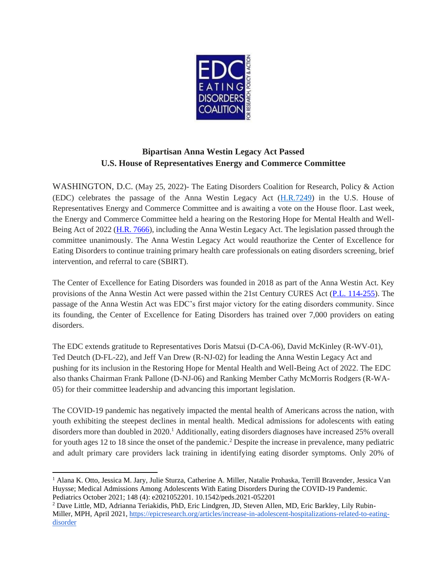

## **Bipartisan Anna Westin Legacy Act Passed U.S. House of Representatives Energy and Commerce Committee**

WASHINGTON, D.C. (May 25, 2022)- The Eating Disorders Coalition for Research, Policy & Action (EDC) celebrates the passage of the Anna Westin Legacy Act [\(H.R.7249\)](https://www.congress.gov/bill/117th-congress/house-bill/7249?q=%7B%22search%22%3A%5B%22congressId%3A117+AND+billStatus%3A%5C%22Introduced%5C%22%22%5D%7D&s=1&r=11) in the U.S. House of Representatives Energy and Commerce Committee and is awaiting a vote on the House floor. Last week, the Energy and Commerce Committee held a hearing on the Restoring Hope for Mental Health and Well-Being Act of 2022 [\(H.R. 7666\)](https://www.congress.gov/bill/117th-congress/house-bill/7666?s=1&r=2), including the Anna Westin Legacy Act. The legislation passed through the committee unanimously. The Anna Westin Legacy Act would reauthorize the Center of Excellence for Eating Disorders to continue training primary health care professionals on eating disorders screening, brief intervention, and referral to care (SBIRT).

The Center of Excellence for Eating Disorders was founded in 2018 as part of the Anna Westin Act. Key provisions of the Anna Westin Act were passed within the 21st Century CURES Act [\(P.L. 114-255\)](https://www.congress.gov/114/plaws/publ255/PLAW-114publ255.pdf). The passage of the Anna Westin Act was EDC's first major victory for the eating disorders community. Since its founding, the Center of Excellence for Eating Disorders has trained over 7,000 providers on eating disorders.

The EDC extends gratitude to Representatives Doris Matsui (D-CA-06), David McKinley (R-WV-01), Ted Deutch (D-FL-22), and Jeff Van Drew (R-NJ-02) for leading the Anna Westin Legacy Act and pushing for its inclusion in the Restoring Hope for Mental Health and Well-Being Act of 2022. The EDC also thanks Chairman Frank Pallone (D-NJ-06) and Ranking Member Cathy McMorris Rodgers (R-WA-05) for their committee leadership and advancing this important legislation.

The COVID-19 pandemic has negatively impacted the mental health of Americans across the nation, with youth exhibiting the steepest declines in mental health. Medical admissions for adolescents with eating disorders more than doubled in 2020.<sup>1</sup> Additionally, eating disorders diagnoses have increased 25% overall for youth ages 12 to 18 since the onset of the pandemic.<sup>2</sup> Despite the increase in prevalence, many pediatric and adult primary care providers lack training in identifying eating disorder symptoms. Only 20% of

<sup>1</sup> Alana K. Otto, Jessica M. Jary, Julie Sturza, Catherine A. Miller, Natalie Prohaska, Terrill Bravender, Jessica Van Huysse; Medical Admissions Among Adolescents With Eating Disorders During the COVID-19 Pandemic. Pediatrics October 2021; 148 (4): e2021052201. 10.1542/peds.2021-052201

<sup>2</sup> Dave Little, MD, Adrianna Teriakidis, PhD, Eric Lindgren, JD, Steven Allen, MD, Eric Barkley, Lily Rubin-Miller, MPH, April 2021, [https://epicresearch.org/articles/increase-in-adolescent-hospitalizations-related-to-eating](https://epicresearch.org/articles/increase-in-adolescent-hospitalizations-related-to-eating-disorder)[disorder](https://epicresearch.org/articles/increase-in-adolescent-hospitalizations-related-to-eating-disorder)